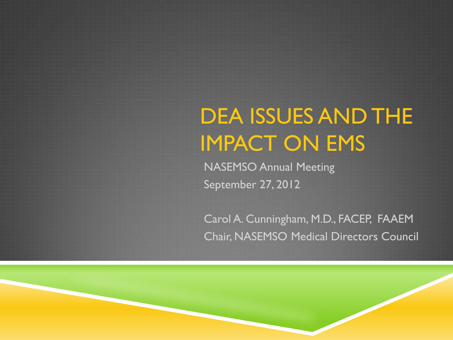## DEA ISSUES AND THE IMPACT ON EMS

NASEMSO Annual Meeting September 27, 2012

Carol A. Cunningham, M.D., FACEP, FAAEM Chair, NASEMSO Medical Directors Council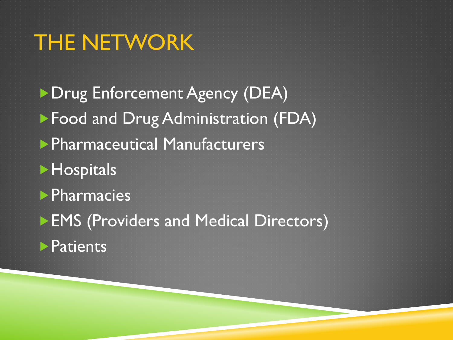## THE NETWORK

**Drug Enforcement Agency (DEA)** Food and Drug Administration (FDA) Pharmaceutical Manufacturers **Hospitals Pharmacies EMS (Providers and Medical Directors) Patients**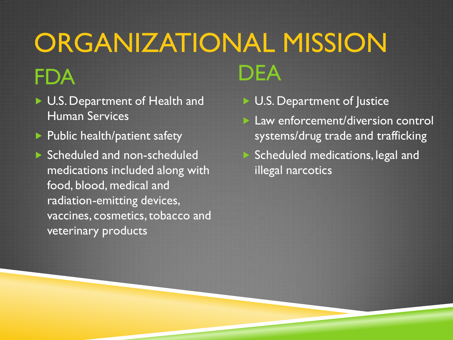## ORGANIZATIONAL MISSION FDA DEA

- U.S. Department of Health and Human Services
- $\blacktriangleright$  Public health/patient safety
- Scheduled and non-scheduled medications included along with food, blood, medical and radiation-emitting devices, vaccines, cosmetics, tobacco and veterinary products
- ▶ U.S. Department of Justice
- **Law enforcement/diversion control** systems/drug trade and trafficking Scheduled medications, legal and illegal narcotics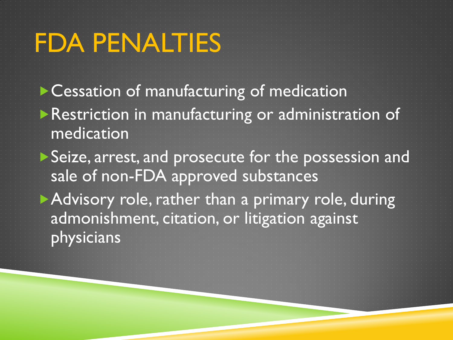# FDA PENALTIES

▶ Cessation of manufacturing of medication **Restriction in manufacturing or administration of** medication

Seize, arrest, and prosecute for the possession and sale of non-FDA approved substances

Advisory role, rather than a primary role, during admonishment, citation, or litigation against physicians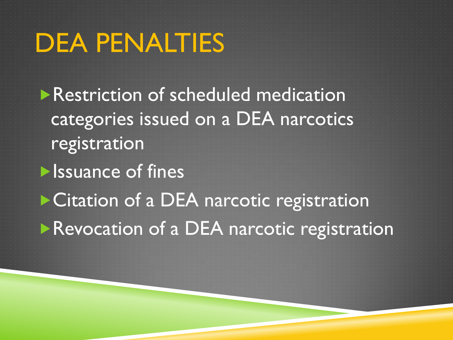## DEA PENALTIES

- **Restriction of scheduled medication** categories issued on a DEA narcotics registration
- **In Issuance of fines** ▶ Citation of a DEA narcotic registration **Revocation of a DEA narcotic registration**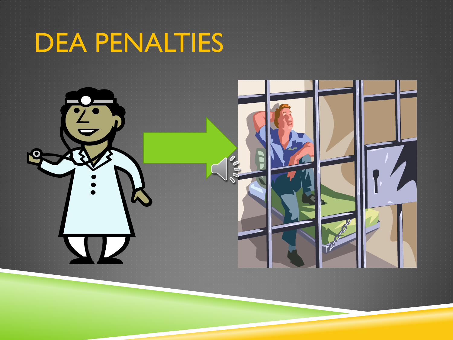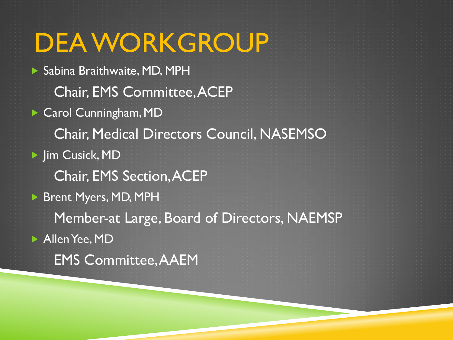DEA WORKGROUP Sabina Braithwaite, MD, MPH Chair, EMS Committee, ACEP ▶ Carol Cunningham, MD Chair, Medical Directors Council, NASEMSO **Film Cusick, MD**  Chair, EMS Section, ACEP Brent Myers, MD, MPH Member-at Large, Board of Directors, NAEMSP Allen Yee, MD EMS Committee, AAEM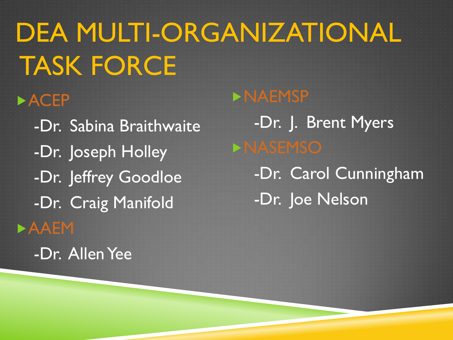DEA MULTI-ORGANIZATIONAL TASK FORCE **>ACEP**  -Dr. Sabina Braithwaite -Dr. Joseph Holley -Dr. Jeffrey Goodloe -Dr. Craig Manifold **>AAEM**  -Dr. Allen Yee NAEMSP -Dr. J. Brent Myers **ENASEMSO**  -Dr. Carol Cunningham -Dr. Joe Nelson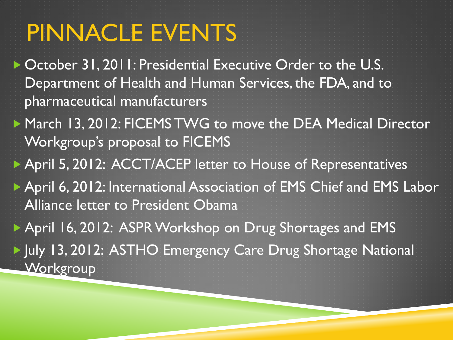## PINNACLE EVENTS

- ▶ October 31, 2011: Presidential Executive Order to the U.S. Department of Health and Human Services, the FDA, and to pharmaceutical manufacturers
- ▶ March 13, 2012: FICEMS TWG to move the DEA Medical Director Workgroup's proposal to FICEMS
- ▶ April 5, 2012: ACCT/ACEP letter to House of Representatives
- ▶ April 6, 2012: International Association of EMS Chief and EMS Labor Alliance letter to President Obama
- ▶ April 16, 2012: ASPR Workshop on Drug Shortages and EMS
- IV Uly 13, 2012: ASTHO Emergency Care Drug Shortage National **Workgroup**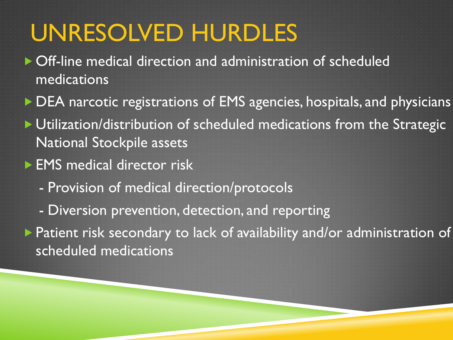## UNRESOLVED HURDLES

- Off-line medical direction and administration of scheduled medications
- ▶ DEA narcotic registrations of EMS agencies, hospitals, and physicians
- **Utilization/distribution of scheduled medications from the Strategic** National Stockpile assets
- **EMS** medical director risk
	- Provision of medical direction/protocols
	- Diversion prevention, detection, and reporting

 Patient risk secondary to lack of availability and/or administration of scheduled medications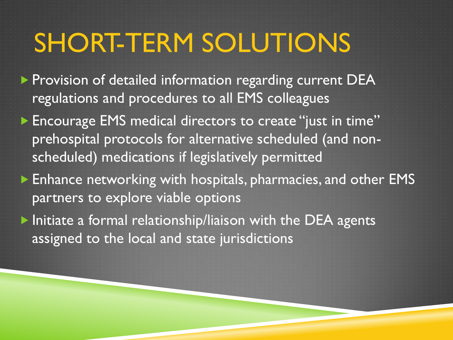## SHORT-TERM SOLUTIONS

**Provision of detailed information regarding current DEA** regulations and procedures to all EMS colleagues

**Encourage EMS medical directors to create "just in time"** prehospital protocols for alternative scheduled (and nonscheduled) medications if legislatively permitted

 Enhance networking with hospitals, pharmacies, and other EMS partners to explore viable options

 $\blacktriangleright$  Initiate a formal relationship/liaison with the DEA agents assigned to the local and state jurisdictions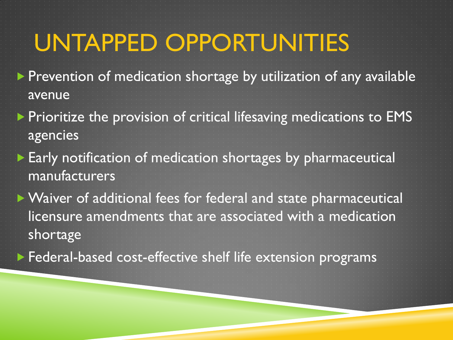### UNTAPPED OPPORTUNITIES

- **Prevention of medication shortage by utilization of any available** avenue
- **Prioritize the provision of critical lifesaving medications to EMS** agencies
- Early notification of medication shortages by pharmaceutical manufacturers
- Waiver of additional fees for federal and state pharmaceutical licensure amendments that are associated with a medication shortage
- **Federal-based cost-effective shelf life extension programs**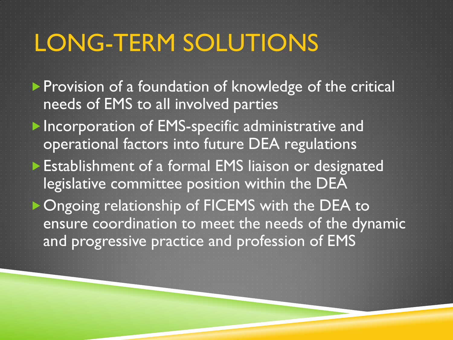## LONG-TERM SOLUTIONS

- **Provision of a foundation of knowledge of the critical** needs of EMS to all involved parties
- **Incorporation of EMS-specific administrative and** operational factors into future DEA regulations
- **Establishment of a formal EMS liaison or designated** legislative committee position within the DEA
- **Ongoing relationship of FICEMS with the DEA to** ensure coordination to meet the needs of the dynamic and progressive practice and profession of EMS